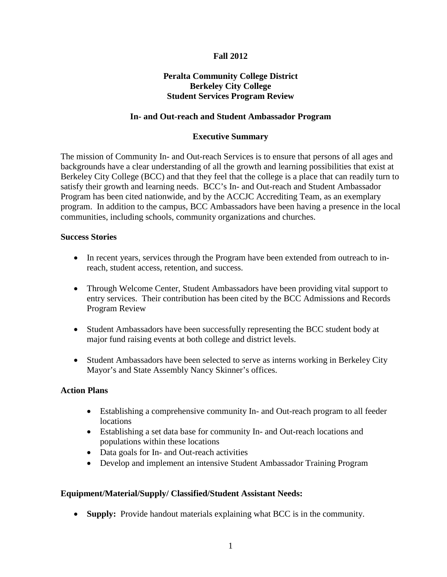# **Fall 2012**

## **Peralta Community College District Berkeley City College Student Services Program Review**

## **In- and Out-reach and Student Ambassador Program**

## **Executive Summary**

The mission of Community In- and Out-reach Services is to ensure that persons of all ages and backgrounds have a clear understanding of all the growth and learning possibilities that exist at Berkeley City College (BCC) and that they feel that the college is a place that can readily turn to satisfy their growth and learning needs. BCC's In- and Out-reach and Student Ambassador Program has been cited nationwide, and by the ACCJC Accrediting Team, as an exemplary program. In addition to the campus, BCC Ambassadors have been having a presence in the local communities, including schools, community organizations and churches.

### **Success Stories**

- In recent years, services through the Program have been extended from outreach to inreach, student access, retention, and success.
- Through Welcome Center, Student Ambassadors have been providing vital support to entry services. Their contribution has been cited by the BCC Admissions and Records Program Review
- Student Ambassadors have been successfully representing the BCC student body at major fund raising events at both college and district levels.
- Student Ambassadors have been selected to serve as interns working in Berkeley City Mayor's and State Assembly Nancy Skinner's offices.

## **Action Plans**

- Establishing a comprehensive community In- and Out-reach program to all feeder locations
- Establishing a set data base for community In- and Out-reach locations and populations within these locations
- Data goals for In- and Out-reach activities
- Develop and implement an intensive Student Ambassador Training Program

## **Equipment/Material/Supply/ Classified/Student Assistant Needs:**

• **Supply:** Provide handout materials explaining what BCC is in the community.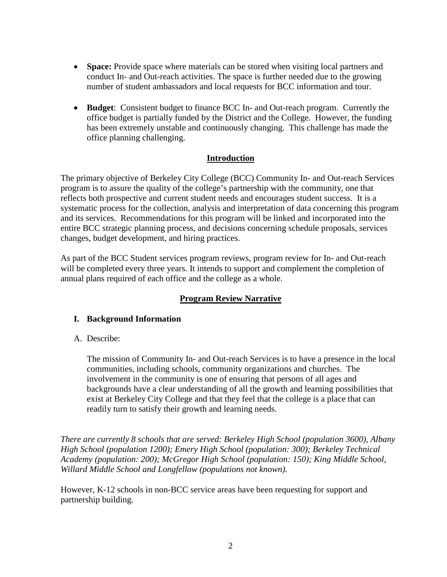- **Space:** Provide space where materials can be stored when visiting local partners and conduct In- and Out-reach activities. The space is further needed due to the growing number of student ambassadors and local requests for BCC information and tour.
- **Budget**: Consistent budget to finance BCC In- and Out-reach program. Currently the office budget is partially funded by the District and the College. However, the funding has been extremely unstable and continuously changing. This challenge has made the office planning challenging.

## **Introduction**

The primary objective of Berkeley City College (BCC) Community In- and Out-reach Services program is to assure the quality of the college's partnership with the community, one that reflects both prospective and current student needs and encourages student success. It is a systematic process for the collection, analysis and interpretation of data concerning this program and its services. Recommendations for this program will be linked and incorporated into the entire BCC strategic planning process, and decisions concerning schedule proposals, services changes, budget development, and hiring practices.

As part of the BCC Student services program reviews, program review for In- and Out-reach will be completed every three years. It intends to support and complement the completion of annual plans required of each office and the college as a whole.

# **Program Review Narrative**

# **I. Background Information**

A. Describe:

The mission of Community In- and Out-reach Services is to have a presence in the local communities, including schools, community organizations and churches. The involvement in the community is one of ensuring that persons of all ages and backgrounds have a clear understanding of all the growth and learning possibilities that exist at Berkeley City College and that they feel that the college is a place that can readily turn to satisfy their growth and learning needs.

*There are currently 8 schools that are served: Berkeley High School (population 3600), Albany High School (population 1200); Emery High School (population: 300); Berkeley Technical Academy (population: 200); McGregor High School (population: 150); King Middle School, Willard Middle School and Longfellow (populations not known).*

However, K-12 schools in non-BCC service areas have been requesting for support and partnership building.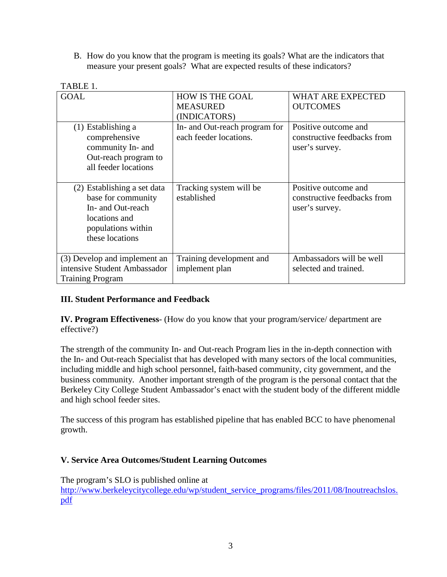B. How do you know that the program is meeting its goals? What are the indicators that measure your present goals? What are expected results of these indicators?

| <b>GOAL</b>                                                                                                                      | <b>HOW IS THE GOAL</b><br><b>MEASURED</b><br>(INDICATORS) | <b>WHAT ARE EXPECTED</b><br><b>OUTCOMES</b>                           |
|----------------------------------------------------------------------------------------------------------------------------------|-----------------------------------------------------------|-----------------------------------------------------------------------|
| Establishing a<br>(1)<br>comprehensive<br>community In- and<br>Out-reach program to<br>all feeder locations                      | In- and Out-reach program for<br>each feeder locations.   | Positive outcome and<br>constructive feedbacks from<br>user's survey. |
| (2) Establishing a set data<br>base for community<br>In- and Out-reach<br>locations and<br>populations within<br>these locations | Tracking system will be<br>established                    | Positive outcome and<br>constructive feedbacks from<br>user's survey. |
| (3) Develop and implement an<br>intensive Student Ambassador<br><b>Training Program</b>                                          | Training development and<br>implement plan                | Ambassadors will be well<br>selected and trained.                     |

# **III. Student Performance and Feedback**

**IV. Program Effectiveness**- (How do you know that your program/service/ department are effective?)

The strength of the community In- and Out-reach Program lies in the in-depth connection with the In- and Out-reach Specialist that has developed with many sectors of the local communities, including middle and high school personnel, faith-based community, city government, and the business community. Another important strength of the program is the personal contact that the Berkeley City College Student Ambassador's enact with the student body of the different middle and high school feeder sites.

The success of this program has established pipeline that has enabled BCC to have phenomenal growth.

## **V. Service Area Outcomes/Student Learning Outcomes**

The program's SLO is published online at [http://www.berkeleycitycollege.edu/wp/student\\_service\\_programs/files/2011/08/Inoutreachslos.](http://www.berkeleycitycollege.edu/wp/student_service_programs/files/2011/08/Inoutreachslos.pdf) [pdf](http://www.berkeleycitycollege.edu/wp/student_service_programs/files/2011/08/Inoutreachslos.pdf)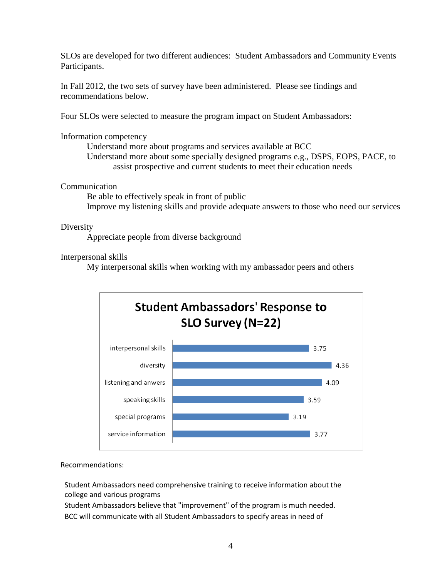SLOs are developed for two different audiences: Student Ambassadors and Community Events Participants.

In Fall 2012, the two sets of survey have been administered. Please see findings and recommendations below.

Four SLOs were selected to measure the program impact on Student Ambassadors:

## Information competency

Understand more about programs and services available at BCC Understand more about some specially designed programs e.g., DSPS, EOPS, PACE, to assist prospective and current students to meet their education needs

## Communication

Be able to effectively speak in front of public Improve my listening skills and provide adequate answers to those who need our services

Diversity

Appreciate people from diverse background

## Interpersonal skills

My interpersonal skills when working with my ambassador peers and others



#### Recommendations:

Student Ambassadors need comprehensive training to receive information about the college and various programs

Student Ambassadors believe that "improvement" of the program is much needed. BCC will communicate with all Student Ambassadors to specify areas in need of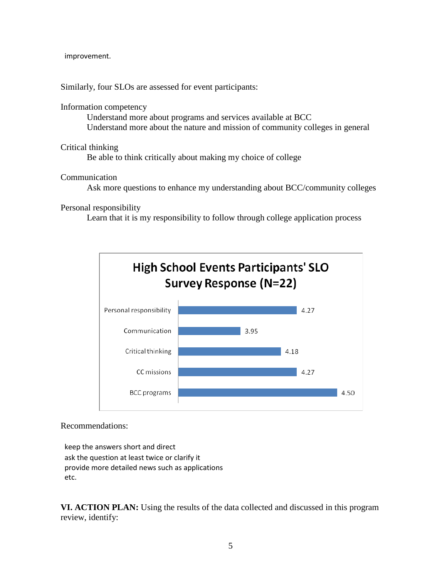improvement.

Similarly, four SLOs are assessed for event participants:

### Information competency

Understand more about programs and services available at BCC Understand more about the nature and mission of community colleges in general

### Critical thinking

Be able to think critically about making my choice of college

### Communication

Ask more questions to enhance my understanding about BCC/community colleges

### Personal responsibility

Learn that it is my responsibility to follow through college application process



#### Recommendations:

keep the answers short and direct ask the question at least twice or clarify it provide more detailed news such as applications etc.

**VI. ACTION PLAN:** Using the results of the data collected and discussed in this program review, identify: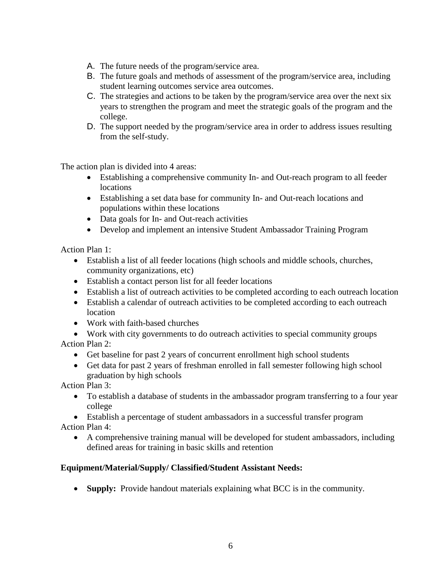- A. The future needs of the program/service area.
- B. The future goals and methods of assessment of the program/service area, including student learning outcomes service area outcomes.
- C. The strategies and actions to be taken by the program/service area over the next six years to strengthen the program and meet the strategic goals of the program and the college.
- D. The support needed by the program/service area in order to address issues resulting from the self-study.

The action plan is divided into 4 areas:

- Establishing a comprehensive community In- and Out-reach program to all feeder locations
- Establishing a set data base for community In- and Out-reach locations and populations within these locations
- Data goals for In- and Out-reach activities
- Develop and implement an intensive Student Ambassador Training Program

Action Plan 1:

- Establish a list of all feeder locations (high schools and middle schools, churches, community organizations, etc)
- Establish a contact person list for all feeder locations
- Establish a list of outreach activities to be completed according to each outreach location
- Establish a calendar of outreach activities to be completed according to each outreach location
- Work with faith-based churches
- Work with city governments to do outreach activities to special community groups

Action Plan 2:

- Get baseline for past 2 years of concurrent enrollment high school students
- Get data for past 2 years of freshman enrolled in fall semester following high school graduation by high schools

Action Plan 3:

• To establish a database of students in the ambassador program transferring to a four year college

• Establish a percentage of student ambassadors in a successful transfer program Action Plan 4:

• A comprehensive training manual will be developed for student ambassadors, including defined areas for training in basic skills and retention

# **Equipment/Material/Supply/ Classified/Student Assistant Needs:**

• **Supply:** Provide handout materials explaining what BCC is in the community.